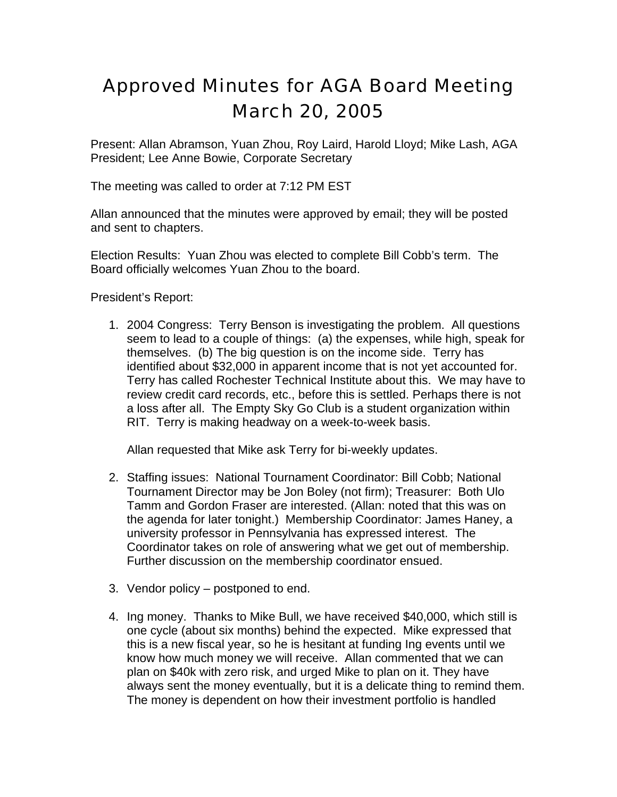## Approved Minutes for AGA Board Meeting March 20, 2005

Present: Allan Abramson, Yuan Zhou, Roy Laird, Harold Lloyd; Mike Lash, AGA President; Lee Anne Bowie, Corporate Secretary

The meeting was called to order at 7:12 PM EST

Allan announced that the minutes were approved by email; they will be posted and sent to chapters.

Election Results: Yuan Zhou was elected to complete Bill Cobb's term. The Board officially welcomes Yuan Zhou to the board.

President's Report:

1. 2004 Congress: Terry Benson is investigating the problem. All questions seem to lead to a couple of things: (a) the expenses, while high, speak for themselves. (b) The big question is on the income side. Terry has identified about \$32,000 in apparent income that is not yet accounted for. Terry has called Rochester Technical Institute about this. We may have to review credit card records, etc., before this is settled. Perhaps there is not a loss after all. The Empty Sky Go Club is a student organization within RIT. Terry is making headway on a week-to-week basis.

Allan requested that Mike ask Terry for bi-weekly updates.

- 2. Staffing issues: National Tournament Coordinator: Bill Cobb; National Tournament Director may be Jon Boley (not firm); Treasurer: Both Ulo Tamm and Gordon Fraser are interested. (Allan: noted that this was on the agenda for later tonight.) Membership Coordinator: James Haney, a university professor in Pennsylvania has expressed interest. The Coordinator takes on role of answering what we get out of membership. Further discussion on the membership coordinator ensued.
- 3. Vendor policy postponed to end.
- 4. Ing money. Thanks to Mike Bull, we have received \$40,000, which still is one cycle (about six months) behind the expected. Mike expressed that this is a new fiscal year, so he is hesitant at funding Ing events until we know how much money we will receive. Allan commented that we can plan on \$40k with zero risk, and urged Mike to plan on it. They have always sent the money eventually, but it is a delicate thing to remind them. The money is dependent on how their investment portfolio is handled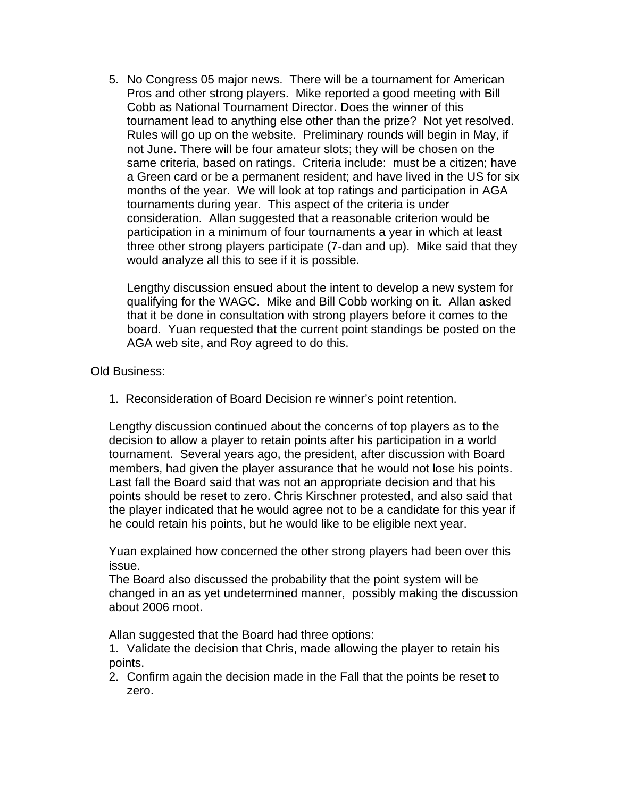5. No Congress 05 major news. There will be a tournament for American Pros and other strong players. Mike reported a good meeting with Bill Cobb as National Tournament Director. Does the winner of this tournament lead to anything else other than the prize? Not yet resolved. Rules will go up on the website. Preliminary rounds will begin in May, if not June. There will be four amateur slots; they will be chosen on the same criteria, based on ratings. Criteria include: must be a citizen; have a Green card or be a permanent resident; and have lived in the US for six months of the year. We will look at top ratings and participation in AGA tournaments during year. This aspect of the criteria is under consideration. Allan suggested that a reasonable criterion would be participation in a minimum of four tournaments a year in which at least three other strong players participate (7-dan and up). Mike said that they would analyze all this to see if it is possible.

Lengthy discussion ensued about the intent to develop a new system for qualifying for the WAGC. Mike and Bill Cobb working on it. Allan asked that it be done in consultation with strong players before it comes to the board. Yuan requested that the current point standings be posted on the AGA web site, and Roy agreed to do this.

Old Business:

1. Reconsideration of Board Decision re winner's point retention.

Lengthy discussion continued about the concerns of top players as to the decision to allow a player to retain points after his participation in a world tournament. Several years ago, the president, after discussion with Board members, had given the player assurance that he would not lose his points. Last fall the Board said that was not an appropriate decision and that his points should be reset to zero. Chris Kirschner protested, and also said that the player indicated that he would agree not to be a candidate for this year if he could retain his points, but he would like to be eligible next year.

Yuan explained how concerned the other strong players had been over this issue.

The Board also discussed the probability that the point system will be changed in an as yet undetermined manner, possibly making the discussion about 2006 moot.

Allan suggested that the Board had three options:

1. Validate the decision that Chris, made allowing the player to retain his points.

2. Confirm again the decision made in the Fall that the points be reset to zero.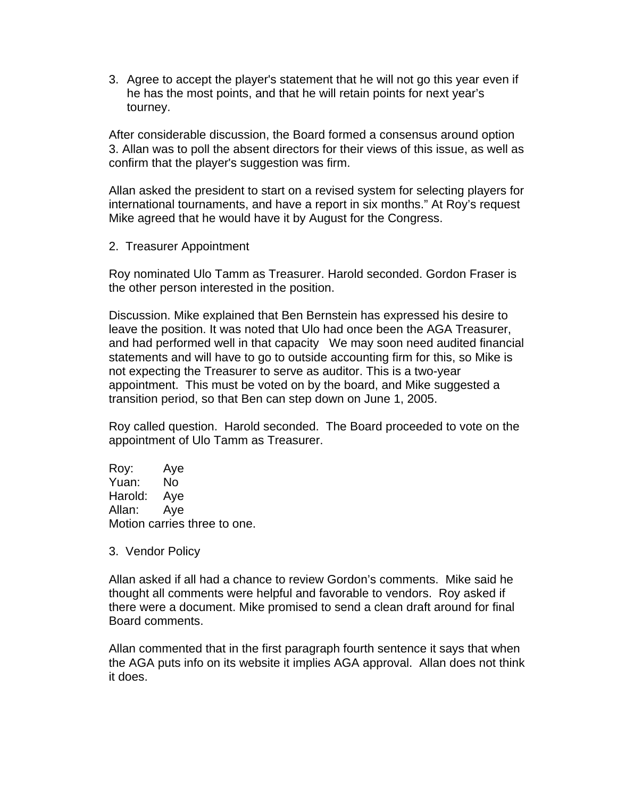3. Agree to accept the player's statement that he will not go this year even if he has the most points, and that he will retain points for next year's tourney.

After considerable discussion, the Board formed a consensus around option 3. Allan was to poll the absent directors for their views of this issue, as well as confirm that the player's suggestion was firm.

Allan asked the president to start on a revised system for selecting players for international tournaments, and have a report in six months." At Roy's request Mike agreed that he would have it by August for the Congress.

2. Treasurer Appointment

Roy nominated Ulo Tamm as Treasurer. Harold seconded. Gordon Fraser is the other person interested in the position.

Discussion. Mike explained that Ben Bernstein has expressed his desire to leave the position. It was noted that Ulo had once been the AGA Treasurer, and had performed well in that capacity We may soon need audited financial statements and will have to go to outside accounting firm for this, so Mike is not expecting the Treasurer to serve as auditor. This is a two-year appointment. This must be voted on by the board, and Mike suggested a transition period, so that Ben can step down on June 1, 2005.

Roy called question. Harold seconded. The Board proceeded to vote on the appointment of Ulo Tamm as Treasurer.

Roy: Aye Yuan: No Harold: Aye Allan: Aye Motion carries three to one.

3. Vendor Policy

Allan asked if all had a chance to review Gordon's comments. Mike said he thought all comments were helpful and favorable to vendors. Roy asked if there were a document. Mike promised to send a clean draft around for final Board comments.

Allan commented that in the first paragraph fourth sentence it says that when the AGA puts info on its website it implies AGA approval. Allan does not think it does.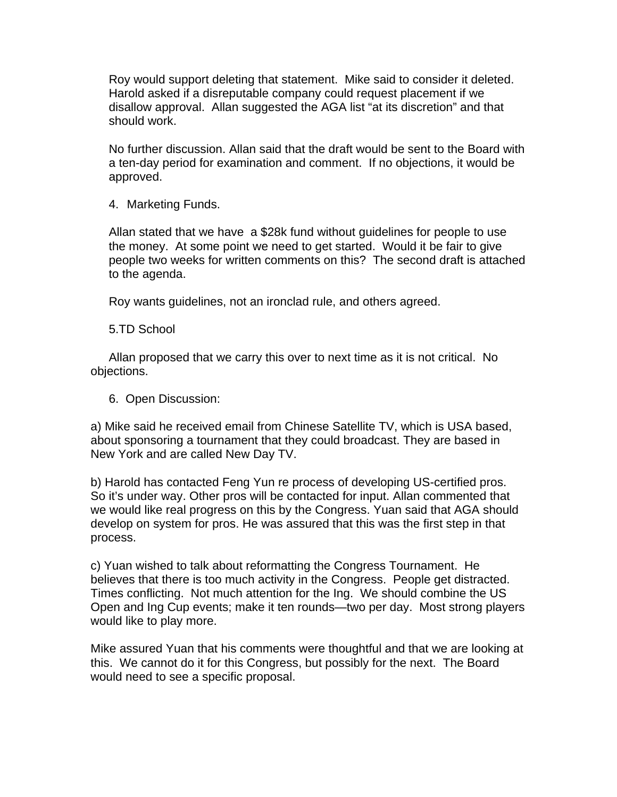Roy would support deleting that statement. Mike said to consider it deleted. Harold asked if a disreputable company could request placement if we disallow approval. Allan suggested the AGA list "at its discretion" and that should work.

No further discussion. Allan said that the draft would be sent to the Board with a ten-day period for examination and comment. If no objections, it would be approved.

4. Marketing Funds.

Allan stated that we have a \$28k fund without guidelines for people to use the money. At some point we need to get started. Would it be fair to give people two weeks for written comments on this? The second draft is attached to the agenda.

Roy wants guidelines, not an ironclad rule, and others agreed.

5.TD School

Allan proposed that we carry this over to next time as it is not critical. No objections.

6. Open Discussion:

a) Mike said he received email from Chinese Satellite TV, which is USA based, about sponsoring a tournament that they could broadcast. They are based in New York and are called New Day TV.

b) Harold has contacted Feng Yun re process of developing US-certified pros. So it's under way. Other pros will be contacted for input. Allan commented that we would like real progress on this by the Congress. Yuan said that AGA should develop on system for pros. He was assured that this was the first step in that process.

c) Yuan wished to talk about reformatting the Congress Tournament. He believes that there is too much activity in the Congress. People get distracted. Times conflicting. Not much attention for the Ing. We should combine the US Open and Ing Cup events; make it ten rounds—two per day. Most strong players would like to play more.

Mike assured Yuan that his comments were thoughtful and that we are looking at this. We cannot do it for this Congress, but possibly for the next. The Board would need to see a specific proposal.